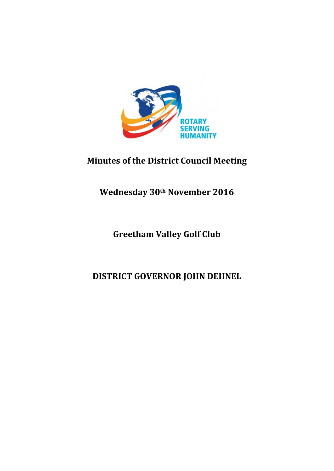

# **Minutes of the District Council Meeting**

# **Wednesday 30th November 2016**

# **Greetham Valley Golf Club**

# **DISTRICT GOVERNOR JOHN DEHNEL**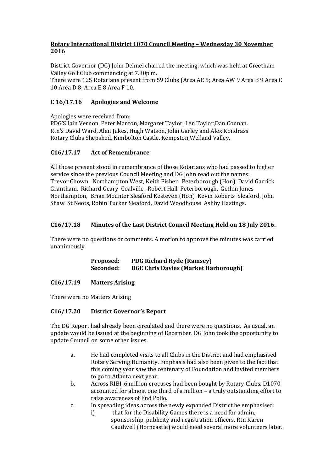## **Rotary International District 1070 Council Meeting – Wednesday 30 November 2016**

District Governor (DG) John Dehnel chaired the meeting, which was held at Greetham Valley Golf Club commencing at 7.30p.m.

There were 125 Rotarians present from 59 Clubs (Area AE 5; Area AW 9 Area B 9 Area C 10 Area D 8; Area E 8 Area F 10.

# **C 16/17.16 Apologies and Welcome**

Apologies were received from: PDG'S Iain Vernon, Peter Manton, Margaret Taylor, Len Taylor,Dan Connan. Rtn's David Ward, Alan Jukes, Hugh Watson, John Garley and Alex Kondrass Rotary Clubs Shepshed, Kimbolton Castle, Kempston,Welland Valley.

## **C16/17.17 Act of Remembrance**

All those present stood in remembrance of those Rotarians who had passed to higher service since the previous Council Meeting and DG John read out the names: Trevor Chown Northampton West, Keith Fisher Peterborough (Hon) David Garrick Grantham, Richard Geary Coalville, Robert Hall Peterborough, Gethin Jones Northampton, Brian Mounter Sleaford Kesteven (Hon) Kevin Roberts Sleaford, John Shaw St Neots, Robin Tucker Sleaford, David Woodhouse Ashby Hastings.

## **C16/17.18 Minutes of the Last District Council Meeting Held on 18 July 2016.**

There were no questions or comments. A motion to approve the minutes was carried unanimously.

> **Proposed: PDG Richard Hyde (Ramsey) Seconded: DGE Chris Davies (Market Harborough)**

## **C16/17.19 Matters Arising**

There were no Matters Arising

## **C16/17.20 District Governor's Report**

The DG Report had already been circulated and there were no questions. As usual, an update would be issued at the beginning of December. DG John took the opportunity to update Council on some other issues.

- a. He had completed visits to all Clubs in the District and had emphasised Rotary Serving Humanity. Emphasis had also been given to the fact that this coming year saw the centenary of Foundation and invited members to go to Atlanta next year.
- b. Across RIBI, 6 million crocuses had been bought by Rotary Clubs. D1070 accounted for almost one third of a million – a truly outstanding effort to raise awareness of End Polio.
- c. In spreading ideas across the newly expanded District he emphasised:
	- i) that for the Disability Games there is a need for admin, sponsorship, publicity and registration officers. Rtn Karen Caudwell (Horncastle) would need several more volunteers later.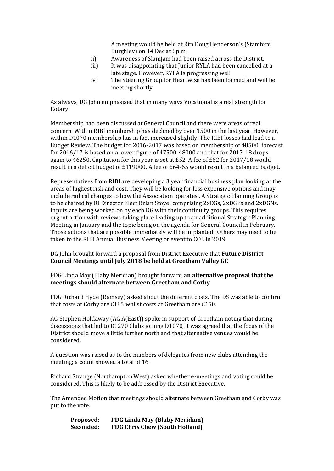A meeting would be held at Rtn Doug Henderson's (Stamford Burghley) on 14 Dec at 8p.m.

- ii) Awareness of SlamJam had been raised across the District.
- iii) It was disappointing that Junior RYLA had been cancelled at a late stage. However, RYLA is progressing well.
- iv) The Steering Group for Heartwize has been formed and will be meeting shortly.

As always, DG John emphasised that in many ways Vocational is a real strength for Rotary.

Membership had been discussed at General Council and there were areas of real concern. Within RIBI membership has declined by over 1500 in the last year. However, within D1070 membership has in fact increased slightly. The RIBI losses had lead to a Budget Review. The budget for 2016-2017 was based on membership of 48500; forecast for 2016/17 is based on a lower figure of 47500-48000 and that for 2017-18 drops again to 46250. Capitation for this year is set at £52. A fee of £62 for 2017/18 would result in a deficit budget of £119000. A fee of £64-65 would result in a balanced budget.

Representatives from RIBI are developing a 3 year financial business plan looking at the areas of highest risk and cost. They will be looking for less expensive options and may include radical changes to how the Association operates.. A Strategic Planning Group is to be chaired by RI Director Elect Brian Stoyel comprising 2xDGs, 2xDGEs and 2xDGNs. Inputs are being worked on by each DG with their continuity groups. This requires urgent action with reviews taking place leading up to an additional Strategic Planning Meeting in January and the topic being on the agenda for General Council in February. Those actions that are possible immediately will be implanted. Others may need to be taken to the RIBI Annual Business Meeting or event to COL in 2019

DG John brought forward a proposal from District Executive that **Future District Council Meetings until July 2018 be held at Greetham Valley GC**

### PDG Linda May (Blaby Meridian) brought forward **an alternative proposal that the meetings should alternate between Greetham and Corby.**

PDG Richard Hyde (Ramsey) asked about the different costs. The DS was able to confirm that costs at Corby are £185 whilst costs at Greetham are £150.

AG Stephen Holdaway (AG A(East)) spoke in support of Greetham noting that during discussions that led to D1270 Clubs joining D1070, it was agreed that the focus of the District should move a little further north and that alternative venues would be considered.

A question was raised as to the numbers of delegates from new clubs attending the meeting; a count showed a total of 16.

Richard Strange (Northampton West) asked whether e-meetings and voting could be considered. This is likely to be addressed by the District Executive.

The Amended Motion that meetings should alternate between Greetham and Corby was put to the vote.

**Proposed: PDG Linda May (Blaby Meridian) Seconded: PDG Chris Chew (South Holland)**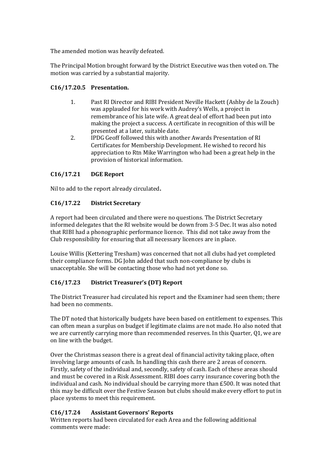The amended motion was heavily defeated.

The Principal Motion brought forward by the District Executive was then voted on. The motion was carried by a substantial majority.

# **C16/17.20.5 Presentation.**

- 1. Past RI Director and RIBI President Neville Hackett (Ashby de la Zouch) was applauded for his work with Audrey's Wells, a project in remembrance of his late wife. A great deal of effort had been put into making the project a success. A certificate in recognition of this will be presented at a later, suitable date.
- 2. IPDG Geoff followed this with another Awards Presentation of RI Certificates for Membership Development. He wished to record his appreciation to Rtn Mike Warrington who had been a great help in the provision of historical information.

# **C16/17.21 DGE Report**

Nil to add to the report already circulated**.**

# **C16/17.22 District Secretary**

A report had been circulated and there were no questions. The District Secretary informed delegates that the RI website would be down from 3-5 Dec. It was also noted that RIBI had a phonographic performance licence. This did not take away from the Club responsibility for ensuring that all necessary licences are in place.

Louise Willis (Kettering Tresham) was concerned that not all clubs had yet completed their compliance forms. DG John added that such non-compliance by clubs is unacceptable. She will be contacting those who had not yet done so.

# **C16/17.23 District Treasurer's (DT) Report**

The District Treasurer had circulated his report and the Examiner had seen them; there had been no comments.

The DT noted that historically budgets have been based on entitlement to expenses. This can often mean a surplus on budget if legitimate claims are not made. Ho also noted that we are currently carrying more than recommended reserves. In this Quarter, Q1, we are on line with the budget.

Over the Christmas season there is a great deal of financial activity taking place, often involving large amounts of cash. In handling this cash there are 2 areas of concern. Firstly, safety of the individual and, secondly, safety of cash. Each of these areas should and must be covered in a Risk Assessment. RIBI does carry insurance covering both the individual and cash. No individual should be carrying more than £500. It was noted that this may be difficult over the Festive Season but clubs should make every effort to put in place systems to meet this requirement.

# **C16/17.24 Assistant Governors' Reports**

Written reports had been circulated for each Area and the following additional comments were made: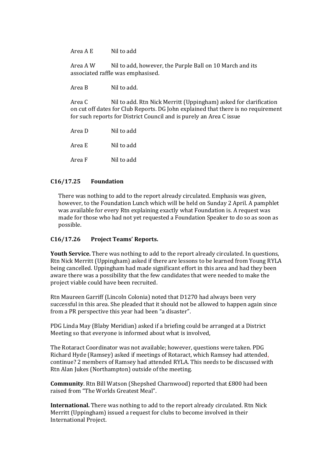Area A E Nil to add

Area A W Nil to add, however, the Purple Ball on 10 March and its associated raffle was emphasised.

Area B Nil to add.

Area C Nil to add. Rtn Nick Merritt (Uppingham) asked for clarification on cut off dates for Club Reports. DG John explained that there is no requirement for such reports for District Council and is purely an Area C issue

Area D Nil to add Area E Nil to add Area F Nil to add

### **C16/17.25 Foundation**

There was nothing to add to the report already circulated. Emphasis was given, however, to the Foundation Lunch which will be held on Sunday 2 April. A pamphlet was available for every Rtn explaining exactly what Foundation is. A request was made for those who had not yet requested a Foundation Speaker to do so as soon as possible.

#### **C16/17.26 Project Teams' Reports.**

**Youth Service.** There was nothing to add to the report already circulated. In questions, Rtn Nick Merritt (Uppingham) asked if there are lessons to be learned from Young RYLA being cancelled. Uppingham had made significant effort in this area and had they been aware there was a possibility that the few candidates that were needed to make the project viable could have been recruited.

Rtn Maureen Garriff (Lincoln Colonia) noted that D1270 had always been very successful in this area. She pleaded that it should not be allowed to happen again since from a PR perspective this year had been "a disaster".

PDG Linda May (Blaby Meridian) asked if a briefing could be arranged at a District Meeting so that everyone is informed about what is involved,

The Rotaract Coordinator was not available; however, questions were taken. PDG Richard Hyde (Ramsey) asked if meetings of Rotaract, which Ramsey had attended, continue? 2 members of Ramsey had attended RYLA. This needs to be discussed with Rtn Alan Jukes (Northampton) outside of the meeting.

**Community**. Rtn Bill Watson (Shepshed Charnwood) reported that £800 had been raised from "The Worlds Greatest Meal".

**International.** There was nothing to add to the report already circulated. Rtn Nick Merritt (Uppingham) issued a request for clubs to become involved in their International Project.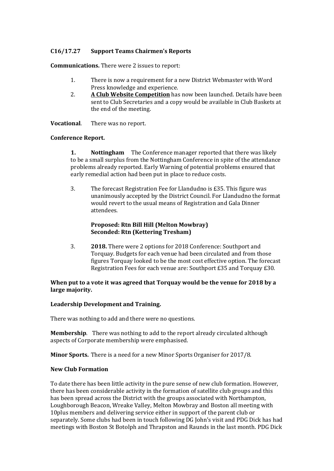## **C16/17.27 Support Teams Chairmen's Reports**

**Communications.** There were 2 issues to report:

- 1. There is now a requirement for a new District Webmaster with Word Press knowledge and experience.
- 2. **A Club Website Competition** has now been launched. Details have been sent to Club Secretaries and a copy would be available in Club Baskets at the end of the meeting.

**Vocational**. There was no report.

### **Conference Report.**

**1. Nottingham** The Conference manager reported that there was likely to be a small surplus from the Nottingham Conference in spite of the attendance problems already reported. Early Warning of potential problems ensured that early remedial action had been put in place to reduce costs.

3. The forecast Registration Fee for Llandudno is £35. This figure was unanimously accepted by the District Council. For Llandudno the format would revert to the usual means of Registration and Gala Dinner attendees.

### **Proposed: Rtn Bill Hill (Melton Mowbray) Seconded: Rtn (Kettering Tresham)**

3. **2018.** There were 2 options for 2018 Conference: Southport and Torquay. Budgets for each venue had been circulated and from those figures Torquay looked to be the most cost effective option. The forecast Registration Fees for each venue are: Southport £35 and Torquay £30.

### **When put to a vote it was agreed that Torquay would be the venue for 2018 by a large majority.**

## **Leadership Development and Training.**

There was nothing to add and there were no questions.

**Membership**. There was nothing to add to the report already circulated although aspects of Corporate membership were emphasised.

**Minor Sports.** There is a need for a new Minor Sports Organiser for 2017/8.

#### **New Club Formation**

To date there has been little activity in the pure sense of new club formation. However, there has been considerable activity in the formation of satellite club groups and this has been spread across the District with the groups associated with Northampton, Loughborough Beacon, Wreake Valley, Melton Mowbray and Boston all meeting with 10plus members and delivering service either in support of the parent club or separately. Some clubs had been in touch following DG John's visit and PDG Dick has had meetings with Boston St Botolph and Thrapston and Raunds in the last month. PDG Dick